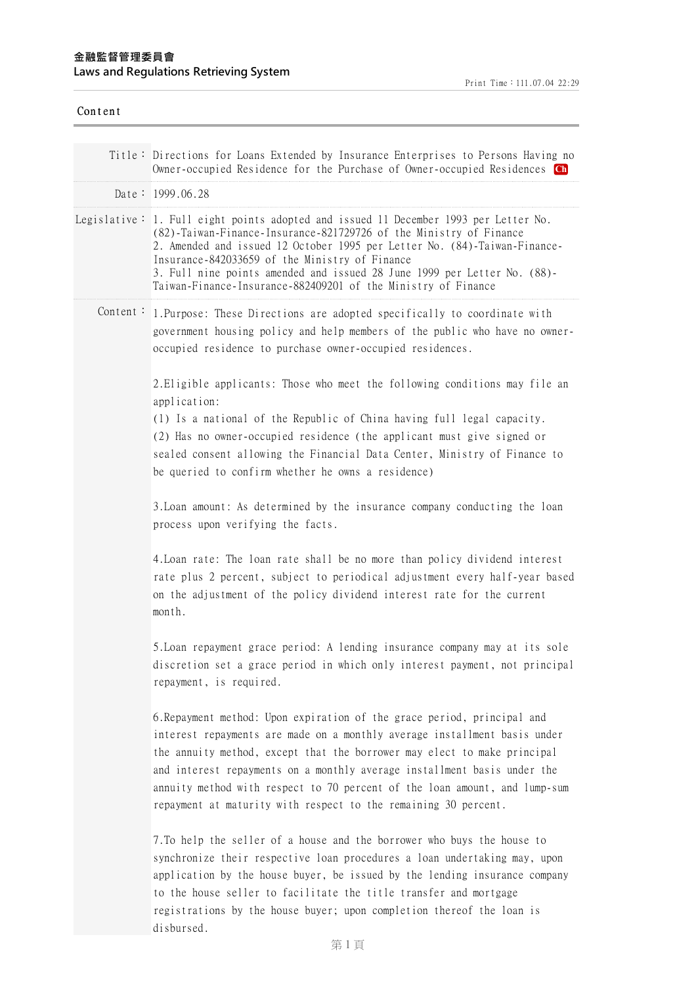| Content |                                                                                                                                                                                                                                                                                                                                                                                                                                                               |
|---------|---------------------------------------------------------------------------------------------------------------------------------------------------------------------------------------------------------------------------------------------------------------------------------------------------------------------------------------------------------------------------------------------------------------------------------------------------------------|
|         | Title: Directions for Loans Extended by Insurance Enterprises to Persons Having no<br>Owner-occupied Residence for the Purchase of Owner-occupied Residences Ch                                                                                                                                                                                                                                                                                               |
|         | Date: $1999.06.28$                                                                                                                                                                                                                                                                                                                                                                                                                                            |
|         | Legislative: 1. Full eight points adopted and issued 11 December 1993 per Letter No.<br>(82)-Taiwan-Finance-Insurance-821729726 of the Ministry of Finance<br>2. Amended and issued 12 October 1995 per Letter No. (84)-Taiwan-Finance-<br>Insurance-842033659 of the Ministry of Finance<br>3. Full nine points amended and issued 28 June 1999 per Letter No. (88)-<br>Taiwan-Finance-Insurance-882409201 of the Ministry of Finance                        |
|         | Content: 1. Purpose: These Directions are adopted specifically to coordinate with<br>government housing policy and help members of the public who have no owner-<br>occupied residence to purchase owner-occupied residences.                                                                                                                                                                                                                                 |
|         | 2. Eligible applicants: Those who meet the following conditions may file an<br>application:<br>(1) Is a national of the Republic of China having full legal capacity.<br>(2) Has no owner-occupied residence (the applicant must give signed or<br>sealed consent allowing the Financial Data Center, Ministry of Finance to<br>be queried to confirm whether he owns a residence)                                                                            |
|         | 3. Loan amount: As determined by the insurance company conducting the loan<br>process upon verifying the facts.                                                                                                                                                                                                                                                                                                                                               |
|         | 4. Loan rate: The loan rate shall be no more than policy dividend interest<br>rate plus 2 percent, subject to periodical adjustment every half-year based<br>on the adjustment of the policy dividend interest rate for the current<br>month.                                                                                                                                                                                                                 |
|         | 5. Loan repayment grace period: A lending insurance company may at its sole<br>discretion set a grace period in which only interest payment, not principal<br>repayment, is required.                                                                                                                                                                                                                                                                         |
|         | 6. Repayment method: Upon expiration of the grace period, principal and<br>interest repayments are made on a monthly average installment basis under<br>the annuity method, except that the borrower may elect to make principal<br>and interest repayments on a monthly average installment basis under the<br>annuity method with respect to 70 percent of the loan amount, and lump-sum<br>repayment at maturity with respect to the remaining 30 percent. |
|         | 7. To help the seller of a house and the borrower who buys the house to<br>synchronize their respective loan procedures a loan undertaking may, upon<br>application by the house buyer, be issued by the lending insurance company<br>to the house seller to facilitate the title transfer and mortgage<br>registrations by the house buyer; upon completion thereof the loan is<br>disbursed.                                                                |